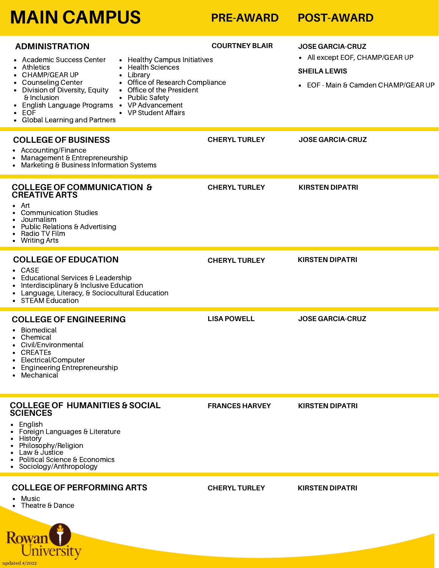# **MAIN CAMPUS PRE-AWARD POST-AWARD**

| <b>ADMINISTRATION</b><br>Academic Success Center<br>• Healthy Campus Initiatives<br><b>Health Sciences</b><br>Athletics<br>CHAMP/GEAR UP<br>Library<br><b>Counseling Center</b><br>Office of Research Compliance<br>Division of Diversity, Equity<br>Office of the President<br>$\bullet$<br>$\bullet$<br>& Inclusion<br>• Public Safety<br>English Language Programs • VP Advancement<br>• VP Student Affairs<br>EOF<br>• Global Learning and Partners | <b>COURTNEY BLAIR</b> | <b>JOSE GARCIA-CRUZ</b><br>• All except EOF, CHAMP/GEAR UP<br><b>SHEILA LEWIS</b><br>• EOF - Main & Camden CHAMP/GEAR UP |
|---------------------------------------------------------------------------------------------------------------------------------------------------------------------------------------------------------------------------------------------------------------------------------------------------------------------------------------------------------------------------------------------------------------------------------------------------------|-----------------------|--------------------------------------------------------------------------------------------------------------------------|
| <b>COLLEGE OF BUSINESS</b><br>• Accounting/Finance<br>Management & Entrepreneurship<br>$\bullet$<br>Marketing & Business Information Systems                                                                                                                                                                                                                                                                                                            | <b>CHERYL TURLEY</b>  | <b>JOSE GARCIA-CRUZ</b>                                                                                                  |
| <b>COLLEGE OF COMMUNICATION &amp;</b><br><b>CREATIVE ARTS</b><br>Art<br><b>Communication Studies</b><br>Journalism<br>Public Relations & Advertising<br>٠<br>Radio TV Film<br>• Writing Arts                                                                                                                                                                                                                                                            | <b>CHERYL TURLEY</b>  | <b>KIRSTEN DIPATRI</b>                                                                                                   |
| <b>COLLEGE OF EDUCATION</b><br>$\bullet$ CASE<br>Educational Services & Leadership<br>$\bullet$<br>Interdisciplinary & Inclusive Education<br>Language, Literacy, & Sociocultural Education<br>$\bullet$<br>• STEAM Education                                                                                                                                                                                                                           | <b>CHERYL TURLEY</b>  | <b>KIRSTEN DIPATRI</b>                                                                                                   |
| <b>COLLEGE OF ENGINEERING</b><br>Biomedical<br>Chemical<br>Civil/Environmental<br>CREATEs<br>• Electrical/Computer<br><b>Engineering Entrepreneurship</b><br>Mechanical                                                                                                                                                                                                                                                                                 | <b>LISA POWELL</b>    | <b>JOSE GARCIA-CRUZ</b>                                                                                                  |
| <b>COLLEGE OF HUMANITIES &amp; SOCIAL</b><br><b>SCIENCES</b><br>$\bullet$ English<br>Foreign Languages & Literature<br>• History<br>Philosophy/Religion<br>$\bullet$<br>Law & Justice<br>$\bullet$<br>Political Science & Economics<br>$\bullet$<br>• Sociology/Anthropology                                                                                                                                                                            | <b>FRANCES HARVEY</b> | <b>KIRSTEN DIPATRI</b>                                                                                                   |
| <b>COLLEGE OF PERFORMING ARTS</b><br>Music<br>Theatre & Dance                                                                                                                                                                                                                                                                                                                                                                                           | <b>CHERYL TURLEY</b>  | <b>KIRSTEN DIPATRI</b>                                                                                                   |

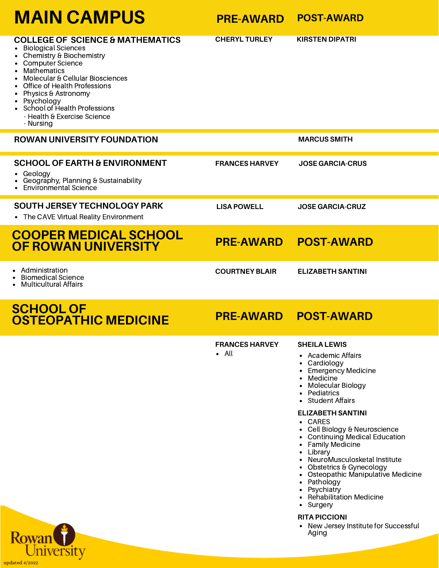| <b>MAIN CAMPUS</b>                                                                                                                                                                                                                                                                                                                   | <b>PRE-AWARD</b>                       | <b>POST-AWARD</b>                                                                                                                                                                                                                                 |
|--------------------------------------------------------------------------------------------------------------------------------------------------------------------------------------------------------------------------------------------------------------------------------------------------------------------------------------|----------------------------------------|---------------------------------------------------------------------------------------------------------------------------------------------------------------------------------------------------------------------------------------------------|
| <b>COLLEGE OF SCIENCE &amp; MATHEMATICS</b><br><b>Biological Sciences</b><br>Chemistry & Biochemistry<br>Computer Science<br><b>Mathematics</b><br>Molecular & Cellular Biosciences<br>Office of Health Professions<br>Physics & Astronomy<br>Psychology<br>School of Health Professions<br>- Health & Exercise Science<br>- Nursing | <b>CHERYL TURLEY</b>                   | <b>KIRSTEN DIPATRI</b>                                                                                                                                                                                                                            |
| <b>ROWAN UNIVERSITY FOUNDATION</b>                                                                                                                                                                                                                                                                                                   |                                        | <b>MARCUS SMITH</b>                                                                                                                                                                                                                               |
| <b>SCHOOL OF EARTH &amp; ENVIRONMENT</b><br>Geology<br>Geography, Planning & Sustainability<br><b>Environmental Science</b>                                                                                                                                                                                                          | <b>FRANCES HARVEY</b>                  | <b>JOSE GARCIA-CRUS</b>                                                                                                                                                                                                                           |
| <b>SOUTH JERSEY TECHNOLOGY PARK</b><br>• The CAVE Virtual Reality Environment                                                                                                                                                                                                                                                        | <b>LISA POWELL</b>                     | <b>JOSE GARCIA-CRUZ</b>                                                                                                                                                                                                                           |
| <b>COOPER MEDICAL SCHOOL</b><br>OF ROWAN UNIVERSITY                                                                                                                                                                                                                                                                                  | <b>PRE-AWARD</b>                       | <b>POST-AWARD</b>                                                                                                                                                                                                                                 |
| Administration<br><b>Biomedical Science</b><br><b>Multicultural Affairs</b>                                                                                                                                                                                                                                                          | <b>COURTNEY BLAIR</b>                  | <b>ELIZABETH SANTINI</b>                                                                                                                                                                                                                          |
| <b>SCHOOL OF</b><br><b>OSTEOPATHIC MEDICINE</b>                                                                                                                                                                                                                                                                                      | <b>PRE-AWARD</b>                       | <b>POST-AWARD</b>                                                                                                                                                                                                                                 |
|                                                                                                                                                                                                                                                                                                                                      | <b>FRANCES HARVEY</b><br>$\bullet$ All | <b>SHEILA LEWIS</b><br>Academic Affairs<br>Cardiology<br>$\bullet$<br><b>Emergency Medicine</b><br>• Medicine<br>• Molecular Biology<br>• Pediatrics<br>• Student Affairs<br><b>ELIZABETH SANTINI</b><br>• CARES<br>• Cell Biology & Neuroscience |

- Continuing Medical Education
- Family Medicine
- Library
- NeuroMusculosketal Institute
- Obstetrics & Gynecology
- Osteopathic Manipulative Medicine
- Pathology
- **Psychiatry**
- Rehabilitation Medicine
- Surgery  $\bullet$

### **RITA PICCIONI**

New Jersey Institute for Successful Aging